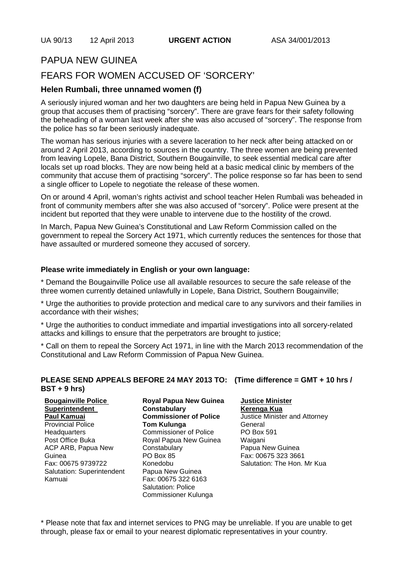## PAPUA NEW GUINEA FEARS FOR WOMEN ACCUSED OF 'SORCERY'

# **Helen Rumbali, three unnamed women (f)**

A seriously injured woman and her two daughters are being held in Papua New Guinea by a group that accuses them of practising "sorcery". There are grave fears for their safety following the beheading of a woman last week after she was also accused of "sorcery". The response from the police has so far been seriously inadequate.

The woman has serious injuries with a severe laceration to her neck after being attacked on or around 2 April 2013, according to sources in the country. The three women are being prevented from leaving Lopele, Bana District, Southern Bougainville, to seek essential medical care after locals set up road blocks. They are now being held at a basic medical clinic by members of the community that accuse them of practising "sorcery". The police response so far has been to send a single officer to Lopele to negotiate the release of these women.

On or around 4 April, woman's rights activist and school teacher Helen Rumbali was beheaded in front of community members after she was also accused of "sorcery". Police were present at the incident but reported that they were unable to intervene due to the hostility of the crowd.

In March, Papua New Guinea's Constitutional and Law Reform Commission called on the government to repeal the Sorcery Act 1971, which currently reduces the sentences for those that have assaulted or murdered someone they accused of sorcery.

#### **Please write immediately in English or your own language:**

\* Demand the Bougainville Police use all available resources to secure the safe release of the three women currently detained unlawfully in Lopele, Bana District, Southern Bougainville;

\* Urge the authorities to provide protection and medical care to any survivors and their families in accordance with their wishes;

\* Urge the authorities to conduct immediate and impartial investigations into all sorcery-related attacks and killings to ensure that the perpetrators are brought to justice;

\* Call on them to repeal the Sorcery Act 1971, in line with the March 2013 recommendation of the Constitutional and Law Reform Commission of Papua New Guinea.

#### **PLEASE SEND APPEALS BEFORE 24 MAY 2013 TO: (Time difference = GMT + 10 hrs / BST + 9 hrs)**

| <b>Bougainville Police</b> | <b>Royal Papua New Guinea</b> |
|----------------------------|-------------------------------|
| <b>Superintendent</b>      | <b>Constabulary</b>           |
| Paul Kamuai                | <b>Commissioner of Police</b> |
| <b>Provincial Police</b>   | <b>Tom Kulunga</b>            |
| Headquarters               | <b>Commissioner of Police</b> |
| Post Office Buka           | Royal Papua New Guinea        |
| ACP ARB, Papua New         | Constabulary                  |
| Guinea                     | <b>PO Box 85</b>              |
| Fax: 00675 9739722         | Konedobu                      |
| Salutation: Superintendent | Papua New Guinea              |
| Kamuai                     | Fax: 00675 322 6163           |
|                            | <b>Salutation: Police</b>     |

#### **Justice Minister**

**Kerenga Kua** Justice Minister and Attorney General PO Box 591 Waigani Papua New Guinea Fax: 00675 323 3661 Salutation: The Hon. Mr Kua

\* Please note that fax and internet services to PNG may be unreliable. If you are unable to get through, please fax or email to your nearest diplomatic representatives in your country.

Commissioner Kulunga